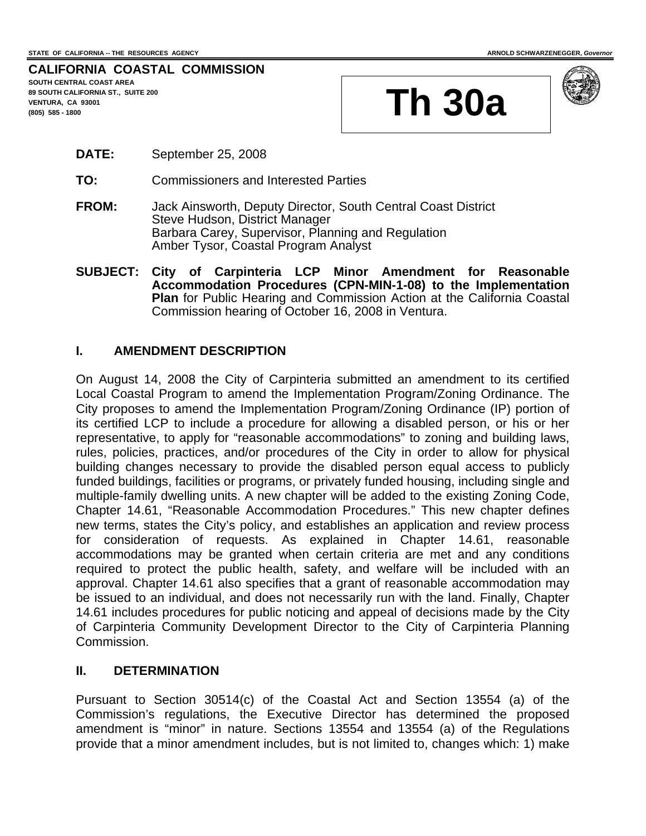# **CALIFORNIA COASTAL COMMISSION SOUTH CENTRAL COAST AREA**

**89 SOUTH CALIFORNIA ST., SUITE 200 VENTURA, CA 93001** 





- **DATE:** September 25, 2008
- **TO:** Commissioners and Interested Parties
- **FROM:** Jack Ainsworth, Deputy Director, South Central Coast District Steve Hudson, District Manager Barbara Carey, Supervisor, Planning and Regulation Amber Tysor, Coastal Program Analyst
- **SUBJECT: City of Carpinteria LCP Minor Amendment for Reasonable Accommodation Procedures (CPN-MIN-1-08) to the Implementation Plan** for Public Hearing and Commission Action at the California Coastal Commission hearing of October 16, 2008 in Ventura.

### **I. AMENDMENT DESCRIPTION**

On August 14, 2008 the City of Carpinteria submitted an amendment to its certified Local Coastal Program to amend the Implementation Program/Zoning Ordinance. The City proposes to amend the Implementation Program/Zoning Ordinance (IP) portion of its certified LCP to include a procedure for allowing a disabled person, or his or her representative, to apply for "reasonable accommodations" to zoning and building laws, rules, policies, practices, and/or procedures of the City in order to allow for physical building changes necessary to provide the disabled person equal access to publicly funded buildings, facilities or programs, or privately funded housing, including single and multiple-family dwelling units. A new chapter will be added to the existing Zoning Code, Chapter 14.61, "Reasonable Accommodation Procedures." This new chapter defines new terms, states the City's policy, and establishes an application and review process for consideration of requests. As explained in Chapter 14.61, reasonable accommodations may be granted when certain criteria are met and any conditions required to protect the public health, safety, and welfare will be included with an approval. Chapter 14.61 also specifies that a grant of reasonable accommodation may be issued to an individual, and does not necessarily run with the land. Finally, Chapter 14.61 includes procedures for public noticing and appeal of decisions made by the City of Carpinteria Community Development Director to the City of Carpinteria Planning Commission.

### **II. DETERMINATION**

Pursuant to Section 30514(c) of the Coastal Act and Section 13554 (a) of the Commission's regulations, the Executive Director has determined the proposed amendment is "minor" in nature. Sections 13554 and 13554 (a) of the Regulations provide that a minor amendment includes, but is not limited to, changes which: 1) make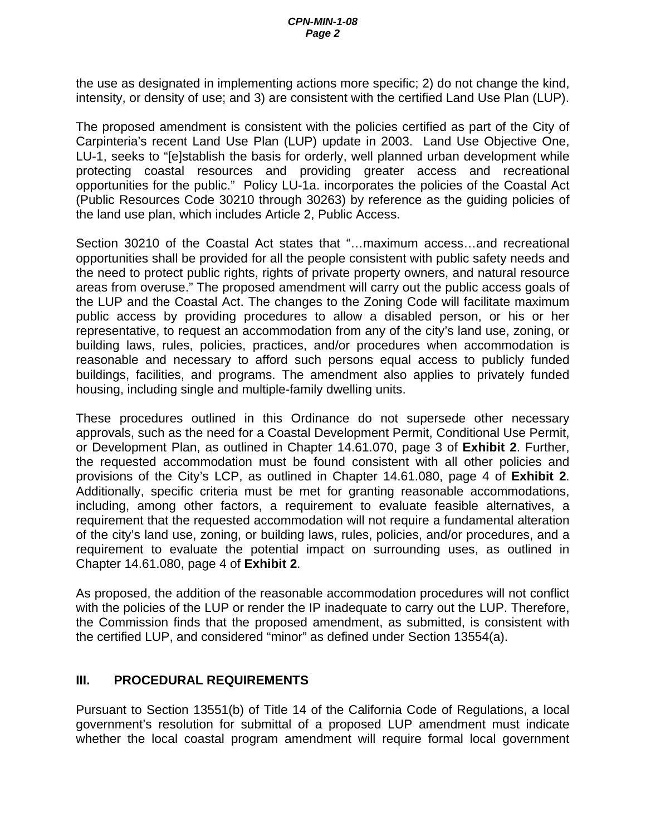the use as designated in implementing actions more specific; 2) do not change the kind, intensity, or density of use; and 3) are consistent with the certified Land Use Plan (LUP).

The proposed amendment is consistent with the policies certified as part of the City of Carpinteria's recent Land Use Plan (LUP) update in 2003. Land Use Objective One, LU-1, seeks to "[e]stablish the basis for orderly, well planned urban development while protecting coastal resources and providing greater access and recreational opportunities for the public." Policy LU-1a. incorporates the policies of the Coastal Act (Public Resources Code 30210 through 30263) by reference as the guiding policies of the land use plan, which includes Article 2, Public Access.

Section 30210 of the Coastal Act states that "…maximum access…and recreational opportunities shall be provided for all the people consistent with public safety needs and the need to protect public rights, rights of private property owners, and natural resource areas from overuse." The proposed amendment will carry out the public access goals of the LUP and the Coastal Act. The changes to the Zoning Code will facilitate maximum public access by providing procedures to allow a disabled person, or his or her representative, to request an accommodation from any of the city's land use, zoning, or building laws, rules, policies, practices, and/or procedures when accommodation is reasonable and necessary to afford such persons equal access to publicly funded buildings, facilities, and programs. The amendment also applies to privately funded housing, including single and multiple-family dwelling units.

These procedures outlined in this Ordinance do not supersede other necessary approvals, such as the need for a Coastal Development Permit, Conditional Use Permit, or Development Plan, as outlined in Chapter 14.61.070, page 3 of **Exhibit 2**. Further, the requested accommodation must be found consistent with all other policies and provisions of the City's LCP, as outlined in Chapter 14.61.080, page 4 of **Exhibit 2**. Additionally, specific criteria must be met for granting reasonable accommodations, including, among other factors, a requirement to evaluate feasible alternatives, a requirement that the requested accommodation will not require a fundamental alteration of the city's land use, zoning, or building laws, rules, policies, and/or procedures, and a requirement to evaluate the potential impact on surrounding uses, as outlined in Chapter 14.61.080, page 4 of **Exhibit 2**.

As proposed, the addition of the reasonable accommodation procedures will not conflict with the policies of the LUP or render the IP inadequate to carry out the LUP. Therefore, the Commission finds that the proposed amendment, as submitted, is consistent with the certified LUP, and considered "minor" as defined under Section 13554(a).

## **III. PROCEDURAL REQUIREMENTS**

Pursuant to Section 13551(b) of Title 14 of the California Code of Regulations, a local government's resolution for submittal of a proposed LUP amendment must indicate whether the local coastal program amendment will require formal local government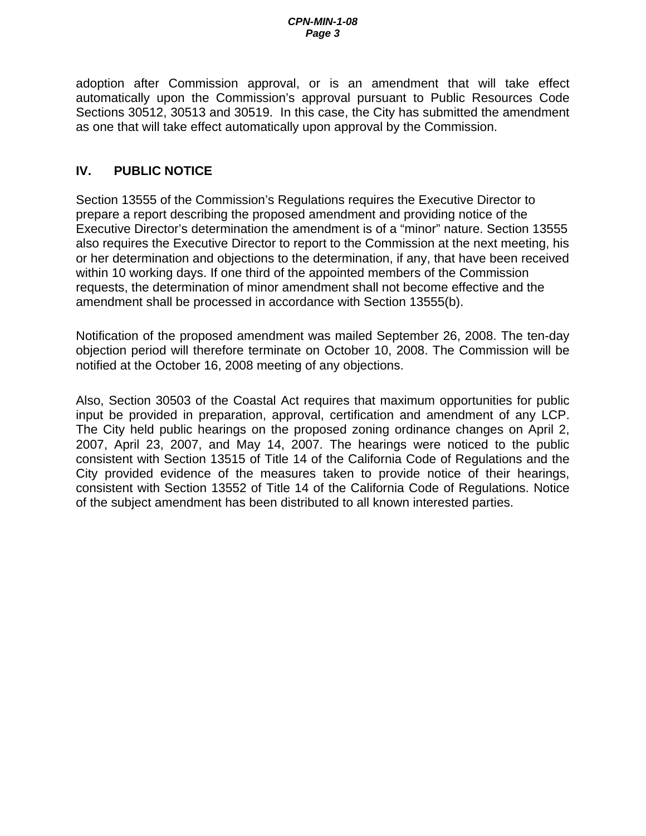adoption after Commission approval, or is an amendment that will take effect automatically upon the Commission's approval pursuant to Public Resources Code Sections 30512, 30513 and 30519. In this case, the City has submitted the amendment as one that will take effect automatically upon approval by the Commission.

# **IV. PUBLIC NOTICE**

Section 13555 of the Commission's Regulations requires the Executive Director to prepare a report describing the proposed amendment and providing notice of the Executive Director's determination the amendment is of a "minor" nature. Section 13555 also requires the Executive Director to report to the Commission at the next meeting, his or her determination and objections to the determination, if any, that have been received within 10 working days. If one third of the appointed members of the Commission requests, the determination of minor amendment shall not become effective and the amendment shall be processed in accordance with Section 13555(b).

Notification of the proposed amendment was mailed September 26, 2008. The ten-day objection period will therefore terminate on October 10, 2008. The Commission will be notified at the October 16, 2008 meeting of any objections.

Also, Section 30503 of the Coastal Act requires that maximum opportunities for public input be provided in preparation, approval, certification and amendment of any LCP. The City held public hearings on the proposed zoning ordinance changes on April 2, 2007, April 23, 2007, and May 14, 2007. The hearings were noticed to the public consistent with Section 13515 of Title 14 of the California Code of Regulations and the City provided evidence of the measures taken to provide notice of their hearings, consistent with Section 13552 of Title 14 of the California Code of Regulations. Notice of the subject amendment has been distributed to all known interested parties.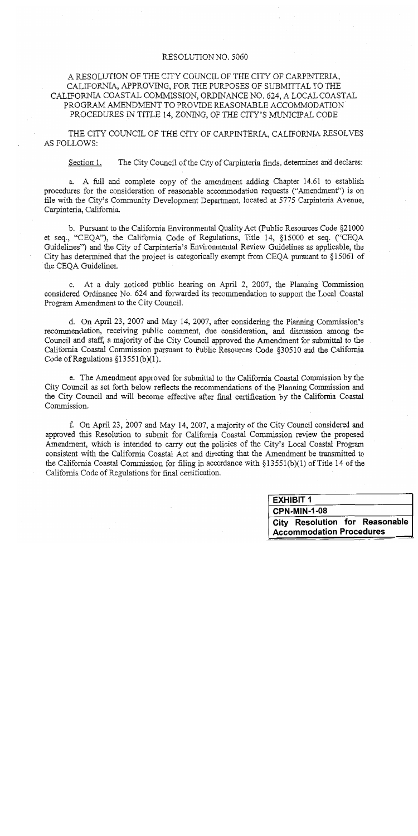### RESOLUTION NO. 5060

## A RESOLUTION OF THE CITY COUNCIL OF THE CITY OF CARPINTERIA, CALIFORNIA, APPROVING, FOR THE PURPOSES OF SUBMITTAL TO THE CALIFORNIA COASTAL COMMISSION, ORDINANCE NO. 624, A LOCAL COASTAL PROGRAM AMENDMENT TO PROVIDE REASONABLE ACCOMMODATION PROCEDURES IN TITLE 14, ZONING, OF THE CITY'S MUNICIPAL CODE

THE CITY COUNCIL OF THE CITY OF CARPINTERIA, CALIFORNIA RESOLVES **AS FOLLOWS:** 

The City Council of the City of Carpinteria finds, determines and declares: Section 1.

a. A full and complete copy of the amendment adding Chapter 14.61 to establish procedures for the consideration of reasonable accommodation requests ("Amendment") is on file with the City's Community Development Department, located at 5775 Carpinteria Avenue, Carpinteria, California.

b. Pursuant to the California Environmental Quality Act (Public Resources Code §21000 et seq., "CEOA"), the California Code of Regulations, Title 14, §15000 et seq. ("CEQA Guidelines") and the City of Carpinteria's Environmental Review Guidelines as applicable, the City has determined that the project is categorically exempt from CEQA pursuant to §15061 of the CEOA Guidelines.

c. At a duly noticed public hearing on April 2, 2007, the Planning Commission considered Ordinance No. 624 and forwarded its recommendation to support the Local Coastal Program Amendment to the City Council.

d. On April 23, 2007 and May 14, 2007, after considering the Planning Commission's recommendation, receiving public comment, due consideration, and discussion among the Council and staff, a majority of the City Council approved the Amendment for submittal to the California Coastal Commission pursuant to Public Resources Code §30510 and the California Code of Regulations  $$13551(b)(1)$ .

e. The Amendment approved for submittal to the California Coastal Commission by the City Council as set forth below reflects the recommendations of the Planning Commission and the City Council and will become effective after final certification by the California Coastal Commission.

f. On April 23, 2007 and May 14, 2007, a majority of the City Council considered and approved this Resolution to submit for California Coastal Commission review the proposed Amendment, which is intended to carry out the policies of the City's Local Coastal Program consistent with the California Coastal Act and directing that the Amendment be transmitted to the California Coastal Commission for filing in accordance with  $\S 13551(b)(1)$  of Title 14 of the California Code of Regulations for final certification.

| <b>EXHIBIT 1</b>                |                     |  |                                |  |
|---------------------------------|---------------------|--|--------------------------------|--|
|                                 | <b>CPN-MIN-1-08</b> |  |                                |  |
|                                 |                     |  | City Resolution for Reasonable |  |
| <b>Accommodation Procedures</b> |                     |  |                                |  |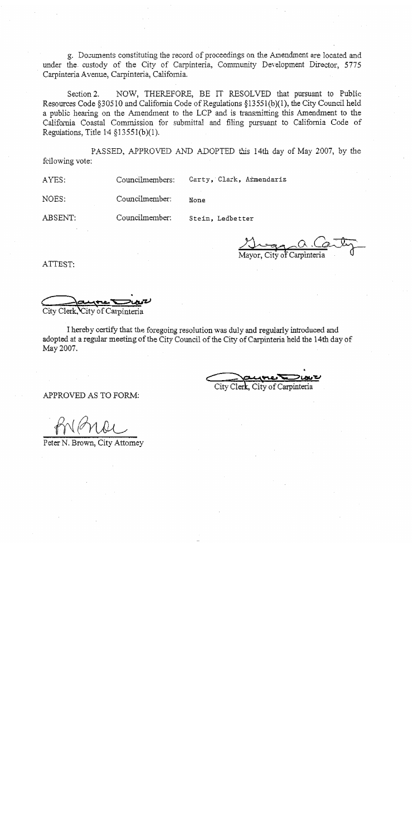g. Documents constituting the record of proceedings on the Amendment are located and under the custody of the City of Carpinteria, Community Development Director, 5775 Carpinteria Avenue, Carpinteria, California.

NOW, THEREFORE, BE IT RESOLVED that pursuant to Public Section 2. Resources Code §30510 and California Code of Regulations §13551(b)(1), the City Council held a public hearing on the Amendment to the LCP and is transmitting this Amendment to the California Coastal Commission for submittal and filing pursuant to California Code of Regulations, Title  $14 \xi 13551(b)(1)$ .

PASSED, APPROVED AND ADOPTED this 14th day of May 2007, by the following vote:

None

AYES: Councilmembers:

Carty, Clark, Afmendariz

Councilmember: NOES:

Councilmember:

ABSENT:

Stein, Ledbetter

ATTEST:

City Clerk, City of Carpinteria

I hereby certify that the foregoing resolution was duly and regularly introduced and adopted at a regular meeting of the City Council of the City of Carpinteria held the 14th day of May 2007.

City Clerk City of Carpinteria

APPROVED AS TO FORM:

Peter N. Brown, City Attorney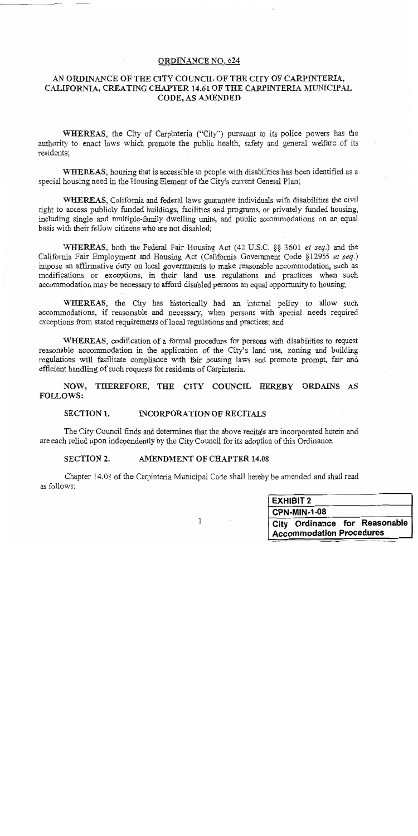### ORDINANCE NO. 624

## AN ORDINANCE OF THE CITY COUNCIL OF THE CITY OF CARPINTERIA, CALIFORNIA, CREATING CHAPTER 14.61 OF THE CARPINTERIA MUNICIPAL CODE, AS AMENDED

WHEREAS, the City of Carpinteria ("City") pursuant to its police powers has the authority to enact laws which promote the public health, safety and general welfare of its residents:

WHEREAS, housing that is accessible to people with disabilities has been identified as a special housing need in the Housing Element of the City's current General Plan;

WHEREAS, California and federal laws guarantee individuals with disabilities the civil right to access publicly funded buildings, facilities and programs, or privately funded housing, including single and multiple-family dwelling units, and public accommodations on an equal basis with their fellow citizens who are not disabled;

WHEREAS, both the Federal Fair Housing Act (42 U.S.C. §§ 3601 et seq.) and the California Fair Employment and Housing Act (California Government Code §12955 et seq.) impose an affirmative duty on local governments to make reasonable accommodation, such as modifications or exceptions, in their land use regulations and practices when such accommodation may be necessary to afford disabled persons an equal opportunity to housing;

WHEREAS, the City has historically had an internal policy to allow such accommodations, if reasonable and necessary, when persons with special needs required exceptions from stated requirements of local regulations and practices; and

WHEREAS, codification of a formal procedure for persons with disabilities to request reasonable accommodation in the application of the City's land use, zoning and building regulations will facilitate compliance with fair housing laws and promote prompt, fair and efficient handling of such requests for residents of Carpinteria.

NOW, THEREFORE, THE CITY COUNCIL HEREBY ORDAINS AS **FOLLOWS:** 

#### **SECTION 1. INCORPORATION OF RECITALS**

The City Council finds and determines that the above recitals are incorporated herein and are each relied upon independently by the City Council for its adoption of this Ordinance.

#### AMENDMENT OF CHAPTER 14.08 **SECTION 2.**

Chapter 14.08 of the Carpinteria Municipal Code shall hereby be amended and shall read as follows:

| <b>EXHIBIT 2</b>                |  |  |  |  |
|---------------------------------|--|--|--|--|
| CPN-MIN-1-08                    |  |  |  |  |
| City Ordinance for Reasonable   |  |  |  |  |
| <b>Accommodation Procedures</b> |  |  |  |  |

 $\mathbf{1}$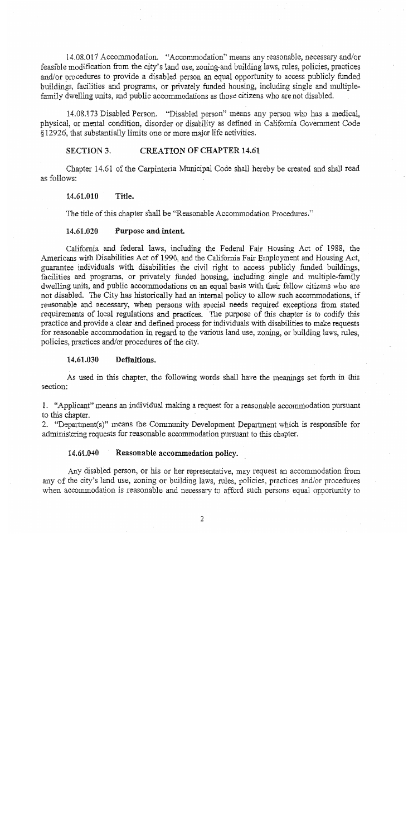14.08.017 Accommodation. "Accommodation" means any reasonable, necessary and/or feasible modification from the city's land use, zoning-and building laws, rules, policies, practices and/or procedures to provide a disabled person an equal opportunity to access publicly funded buildings, facilities and programs, or privately funded housing, including single and multiplefamily dwelling units, and public accommodations as those citizens who are not disabled.

14.08.173 Disabled Person. "Disabled person" means any person who has a medical, physical, or mental condition, disorder or disability as defined in California Government Code §12926, that substantially limits one or more major life activities.

#### **SECTION 3. CREATION OF CHAPTER 14.61**

Chapter 14.61 of the Carpinteria Municipal Code shall hereby be created and shall read as follows:

#### 14.61.010 Title.

The title of this chapter shall be "Reasonable Accommodation Procedures."

#### 14.61.020 Purpose and intent.

California and federal laws, including the Federal Fair Housing Act of 1988, the Americans with Disabilities Act of 1990, and the California Fair Employment and Housing Act, guarantee individuals with disabilities the civil right to access publicly funded buildings, facilities and programs, or privately funded housing, including single and multiple-family dwelling units, and public accommodations on an equal basis with their fellow citizens who are not disabled. The City has historically had an internal policy to allow such accommodations, if reasonable and necessary, when persons with special needs required exceptions from stated requirements of local regulations and practices. The purpose of this chapter is to codify this practice and provide a clear and defined process for individuals with disabilities to make requests for reasonable accommodation in regard to the various land use, zoning, or building laws, rules, policies, practices and/or procedures of the city.

#### 14.61.030 Definitions.

As used in this chapter, the following words shall have the meanings set forth in this section:

1. "Applicant" means an individual making a request for a reasonable accommodation pursuant to this chapter.

2. "Department(s)" means the Community Development Department which is responsible for administering requests for reasonable accommodation pursuant to this chapter.

#### 14.61.040 Reasonable accommodation policy.

Any disabled person, or his or her representative, may request an accommodation from any of the city's land use, zoning or building laws, rules, policies, practices and/or procedures when accommodation is reasonable and necessary to afford such persons equal opportunity to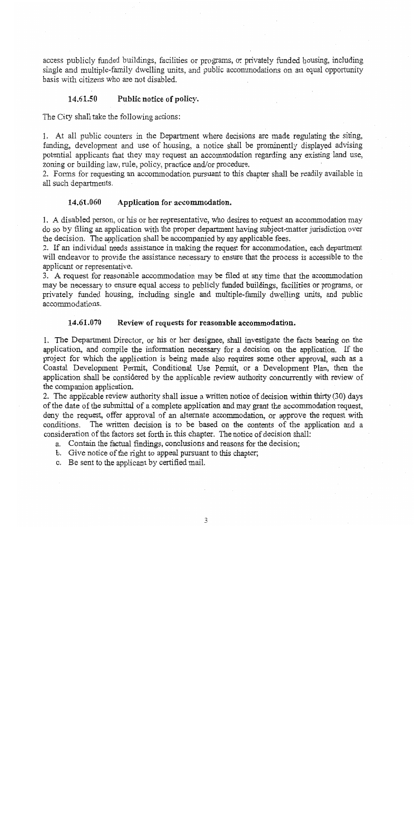access publicly funded buildings, facilities or programs, or privately funded housing, including single and multiple-family dwelling units, and public accommodations on an equal opportunity basis with citizens who are not disabled.

#### 14.61.50 Public notice of policy.

The City shall take the following actions:

1. At all public counters in the Department where decisions are made regulating the siting, funding, development and use of housing, a notice shall be prominently displayed advising potential applicants that they may request an accommodation regarding any existing land use, zoning or building law, rule, policy, practice and/or procedure.

2. Forms for requesting an accommodation pursuant to this chapter shall be readily available in all such departments.

#### 14.61.060 Application for accommodation.

1. A disabled person, or his or her representative, who desires to request an accommodation may do so by filing an application with the proper department having subject-matter jurisdiction over the decision. The application shall be accompanied by any applicable fees.

2. If an individual needs assistance in making the request for accommodation, each department will endeavor to provide the assistance necessary to ensure that the process is accessible to the applicant or representative.

3. A request for reasonable accommodation may be filed at any time that the accommodation may be necessary to ensure equal access to publicly funded buildings, facilities or programs, or privately funded housing, including single and multiple-family dwelling units, and public accommodations.

#### 14.61.070 Review of requests for reasonable accommodation.

1. The Department Director, or his or her designee, shall investigate the facts bearing on the application, and compile the information necessary for a decision on the application. If the project for which the application is being made also requires some other approval, such as a Coastal Development Permit, Conditional Use Permit, or a Development Plan, then the application shall be considered by the applicable review authority concurrently with review of the companion application.

2. The applicable review authority shall issue a written notice of decision within thirty (30) days of the date of the submittal of a complete application and may grant the accommodation request, deny the request, offer approval of an alternate accommodation, or approve the request with conditions. The written decision is to be based on the contents of the application and a consideration of the factors set forth in this chapter. The notice of decision shall:

- a. Contain the factual findings, conclusions and reasons for the decision;
- b. Give notice of the right to appeal pursuant to this chapter;
- c. Be sent to the applicant by certified mail.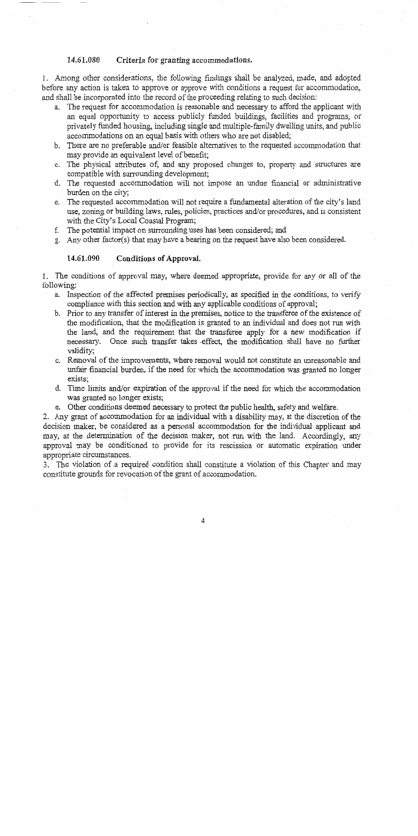#### 14.61.080 Criteria for granting accommodations.

1. Among other considerations, the following findings shall be analyzed, made, and adopted before any action is taken to approve or approve with conditions a request for accommodation, and shall be incorporated into the record of the proceeding relating to such decision:

- a. The request for accommodation is reasonable and necessary to afford the applicant with an equal opportunity to access publicly funded buildings, facilities and programs, or privately funded housing, including single and multiple-family dwelling units, and public accommodations on an equal basis with others who are not disabled:
- b. There are no preferable and/or feasible alternatives to the requested accommodation that may provide an equivalent level of benefit;
- c. The physical attributes of, and any proposed changes to, property and structures are compatible with surrounding development;
- d. The requested accommodation will not impose an undue financial or administrative burden on the city;
- e. The requested accommodation will not require a fundamental alteration of the city's land use, zoning or building laws, rules, policies, practices and/or procedures, and is consistent with the City's Local Coastal Program;
- The potential impact on surrounding uses has been considered; and f.
- g. Any other factor(s) that may have a bearing on the request have also been considered.

#### 14.61.090 Conditions of Approval.

1. The conditions of approval may, where deemed appropriate, provide for any or all of the following:

- a. Inspection of the affected premises periodically, as specified in the conditions, to verify compliance with this section and with any applicable conditions of approval;
- b. Prior to any transfer of interest in the premises, notice to the transferee of the existence of the modification, that the modification is granted to an individual and does not run with the land, and the requirement that the transferee apply for a new modification if necessary. Once such transfer takes effect, the modification shall have no further validity:
- c. Removal of the improvements, where removal would not constitute an unreasonable and unfair financial burden, if the need for which the accommodation was granted no longer exists:
- d. Time limits and/or expiration of the approval if the need for which the accommodation was granted no longer exists;
- e. Other conditions deemed necessary to protect the public health, safety and welfare.

2. Any grant of accommodation for an individual with a disability may, at the discretion of the decision maker, be considered as a personal accommodation for the individual applicant and may, at the determination of the decision maker, not run with the land. Accordingly, any approval may be conditioned to provide for its rescission or automatic expiration under appropriate circumstances.

3. The violation of a required condition shall constitute a violation of this Chapter and may constitute grounds for revocation of the grant of accommodation.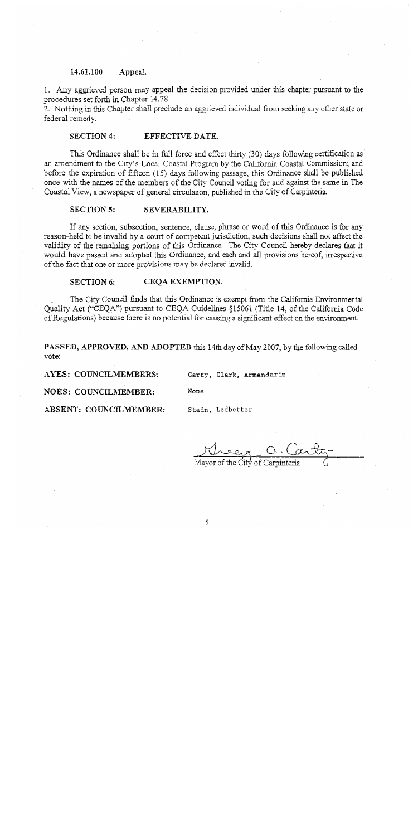#### 14.61.100 Appeal.

1. Any aggrieved person may appeal the decision provided under this chapter pursuant to the procedures set forth in Chapter 14.78.

2. Nothing in this Chapter shall preclude an aggrieved individual from seeking any other state or federal remedy.

#### **SECTION 4:** EFFECTIVE DATE.

This Ordinance shall be in full force and effect thirty (30) days following certification as an amendment to the City's Local Coastal Program by the California Coastal Commission; and before the expiration of fifteen (15) days following passage, this Ordinance shall be published once with the names of the members of the City Council voting for and against the same in The Coastal View, a newspaper of general circulation, published in the City of Carpinteria.

#### **SECTION 5:** SEVERABILITY.

If any section, subsection, sentence, clause, phrase or word of this Ordinance is for any reason-held to be invalid by a court of competent jurisdiction, such decisions shall not affect the validity of the remaining portions of this Ordinance. The City Council hereby declares that it would have passed and adopted this Ordinance, and each and all provisions hereof, irrespective of the fact that one or more provisions may be declared invalid.

#### **SECTION 6:** CEQA EXEMPTION.

The City Council finds that this Ordinance is exempt from the California Environmental Quality Act ("CEQA") pursuant to CEQA Guidelines §15061 (Title 14, of the California Code of Regulations) because there is no potential for causing a significant effect on the environment.

PASSED, APPROVED, AND ADOPTED this 14th day of May 2007, by the following called vote:

None

**AYES: COUNCILMEMBERS:** 

Carty, Clark, Armendariz

**NOES: COUNCILMEMBER:** 

Stein, Ledbetter

ABSENT: COUNCILMEMBER:

Mayor of the City of Carpinteria

5